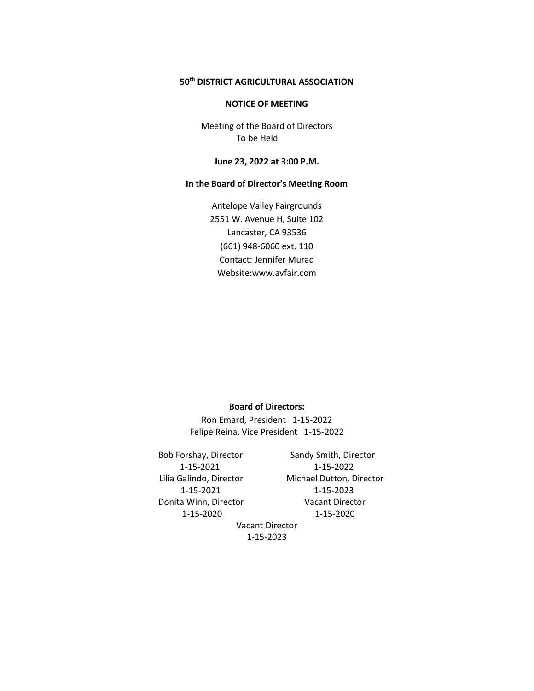# **50th DISTRICT AGRICULTURAL ASSOCIATION**

### **NOTICE OF MEETING**

Meeting of the Board of Directors To be Held

## **June 23, 2022 at 3:00 P.M.**

# **In the Board of Director's Meeting Room**

Antelope Valley Fairgrounds 2551 W. Avenue H, Suite 102 Lancaster, CA 93536 (661) 948-6060 ext. 110 Contact: Jennifer Murad Website:www.avfair.com

### **Board of Directors:**

Ron Emard, President 1-15-2022 Felipe Reina, Vice President 1-15-2022

Bob Forshay, Director Sandy Smith, Director Donita Winn, Director Vacant Director

 1-15-2021 1-15-2022 Lilia Galindo, Director Michael Dutton, Director 1-15-2021 1-15-2023 1-15-2020 1-15-2020

Vacant Director 1-15-2023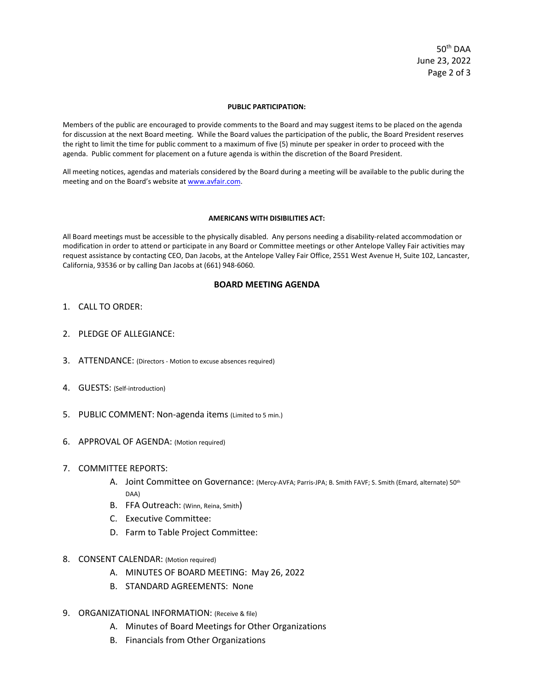50th DAA June 23, 2022 Page 2 of 3

#### **PUBLIC PARTICIPATION:**

Members of the public are encouraged to provide comments to the Board and may suggest items to be placed on the agenda for discussion at the next Board meeting. While the Board values the participation of the public, the Board President reserves the right to limit the time for public comment to a maximum of five (5) minute per speaker in order to proceed with the agenda. Public comment for placement on a future agenda is within the discretion of the Board President.

All meeting notices, agendas and materials considered by the Board during a meeting will be available to the public during the meeting and on the Board's website a[t www.avfair.com.](http://www.avfair.com/)

#### **AMERICANS WITH DISIBILITIES ACT:**

All Board meetings must be accessible to the physically disabled. Any persons needing a disability-related accommodation or modification in order to attend or participate in any Board or Committee meetings or other Antelope Valley Fair activities may request assistance by contacting CEO, Dan Jacobs, at the Antelope Valley Fair Office, 2551 West Avenue H, Suite 102, Lancaster, California, 93536 or by calling Dan Jacobs at (661) 948-6060.

## **BOARD MEETING AGENDA**

- 1. CALL TO ORDER:
- 2. PLEDGE OF ALLEGIANCE:
- 3. ATTENDANCE: (Directors Motion to excuse absences required)
- 4. GUESTS: (Self-introduction)
- 5. PUBLIC COMMENT: Non-agenda items (Limited to 5 min.)
- 6. APPROVAL OF AGENDA: (Motion required)
- 7. COMMITTEE REPORTS:
	- A. Joint Committee on Governance: (Mercy-AVFA; Parris-JPA; B. Smith FAVF; S. Smith (Emard, alternate) 50<sup>th</sup> DAA)
	- B. FFA Outreach: (Winn, Reina, Smith)
	- C. Executive Committee:
	- D. Farm to Table Project Committee:
- 8. CONSENT CALENDAR: (Motion required)
	- A. MINUTES OF BOARD MEETING: May 26, 2022
	- B. STANDARD AGREEMENTS: None
- 9. ORGANIZATIONAL INFORMATION: (Receive & file)
	- A. Minutes of Board Meetings for Other Organizations
	- B. Financials from Other Organizations